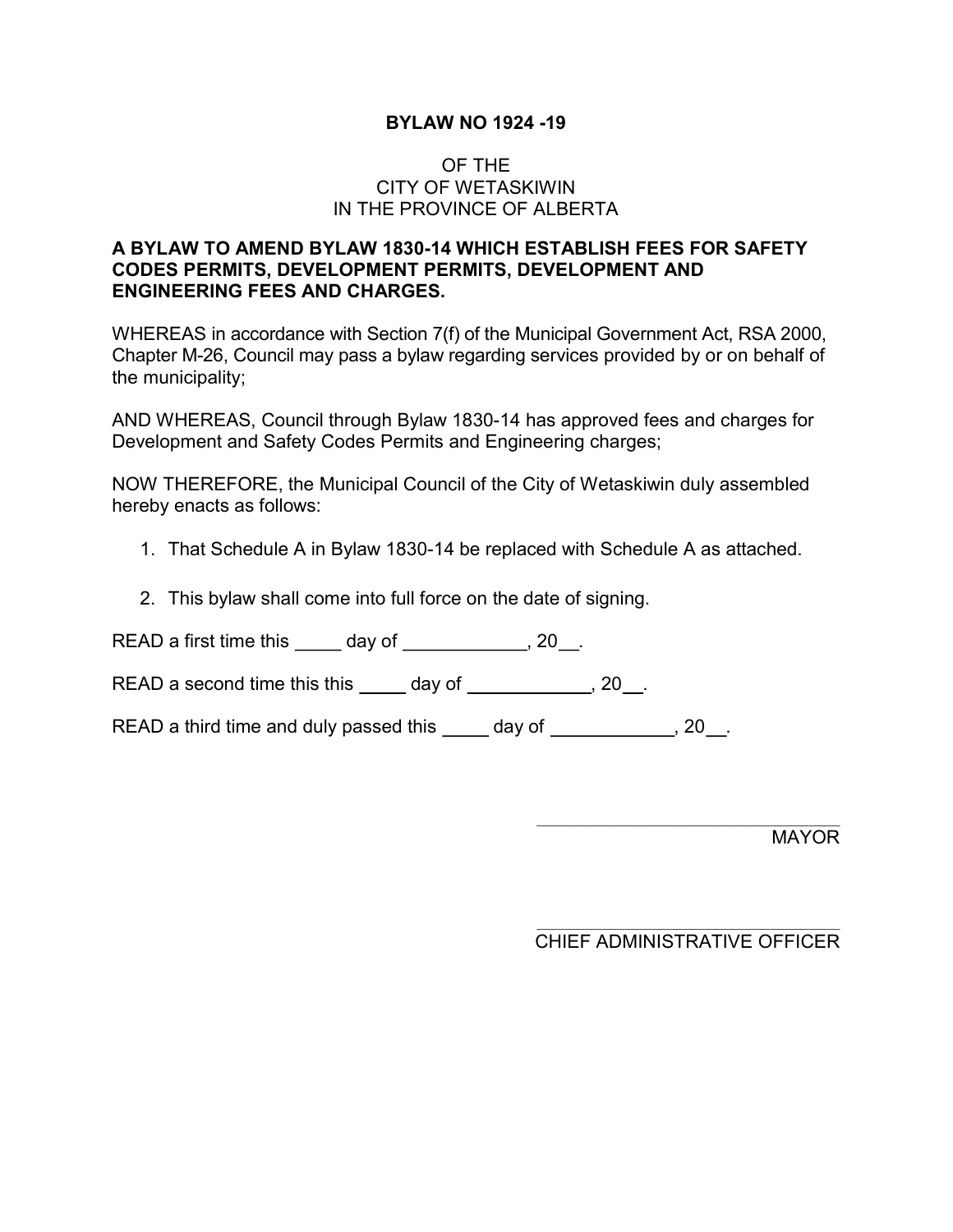# BYLAW NO 1924 -19

# OF THE CITY OF WETASKIWIN IN THE PROVINCE OF ALBERTA

# A BYLAW TO AMEND BYLAW 1830-14 WHICH ESTABLISH FEES FOR SAFETY CODES PERMITS, DEVELOPMENT PERMITS, DEVELOPMENT AND ENGINEERING FEES AND CHARGES.

WHEREAS in accordance with Section 7(f) of the Municipal Government Act, RSA 2000, Chapter M-26, Council may pass a bylaw regarding services provided by or on behalf of the municipality;

AND WHEREAS, Council through Bylaw 1830-14 has approved fees and charges for Development and Safety Codes Permits and Engineering charges;

NOW THEREFORE, the Municipal Council of the City of Wetaskiwin duly assembled hereby enacts as follows:

- 1. That Schedule A in Bylaw 1830-14 be replaced with Schedule A as attached.
- 2. This bylaw shall come into full force on the date of signing.

READ a first time this  $\qquad \qquad$  day of  $\qquad \qquad$ , 20  $\qquad$ .

READ a second time this this  $\qquad \qquad$  day of  $\qquad \qquad$ , 20  $\qquad$ .

READ a third time and duly passed this  $\qquad \qquad$  day of  $\qquad \qquad$ , 20 .

MAYOR

# CHIEF ADMINISTRATIVE OFFICER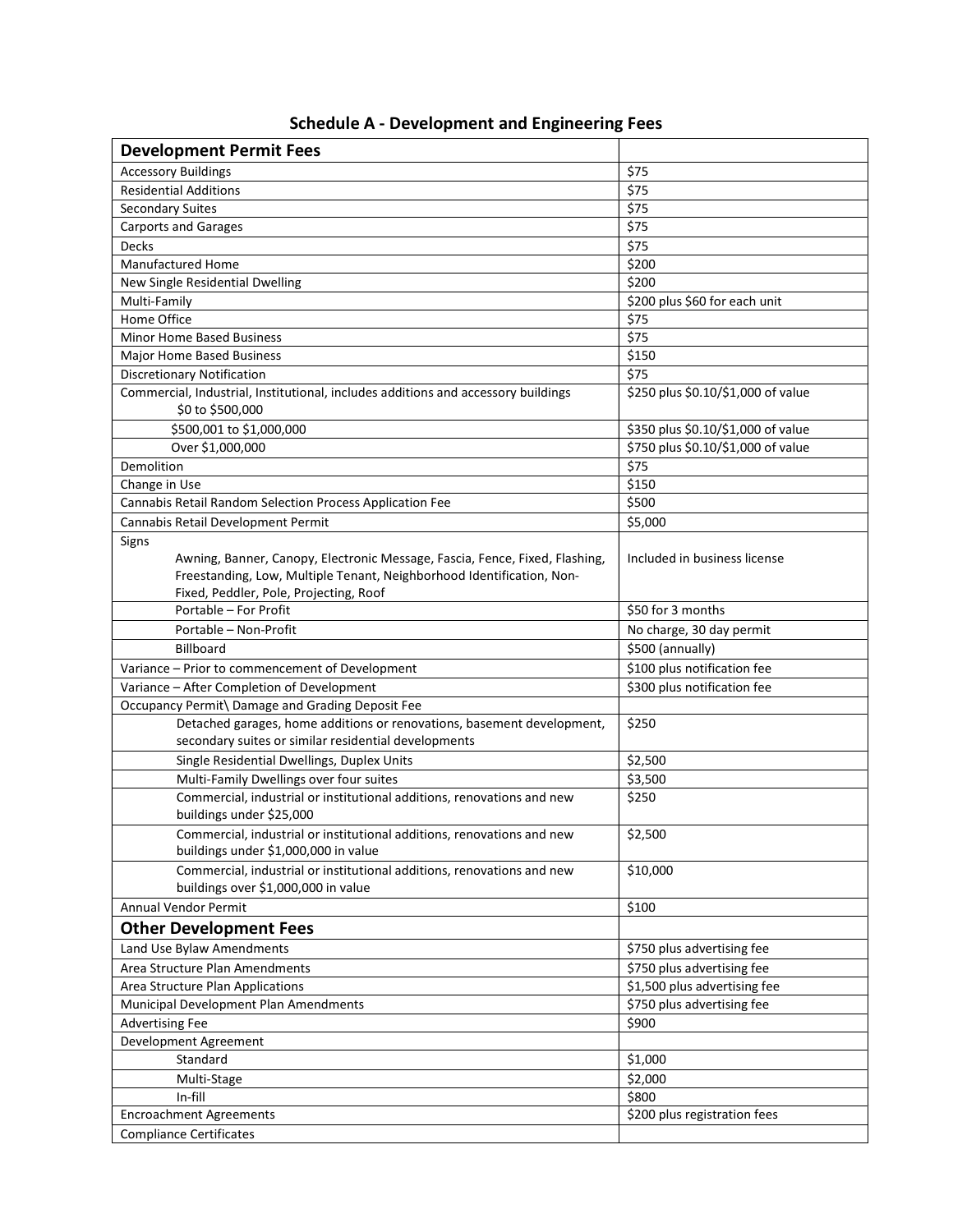| <b>Development Permit Fees</b>                                                                                                                                                                          |                                    |
|---------------------------------------------------------------------------------------------------------------------------------------------------------------------------------------------------------|------------------------------------|
| <b>Accessory Buildings</b>                                                                                                                                                                              | \$75                               |
| <b>Residential Additions</b>                                                                                                                                                                            | \$75                               |
| <b>Secondary Suites</b>                                                                                                                                                                                 | \$75                               |
| <b>Carports and Garages</b>                                                                                                                                                                             | \$75                               |
| Decks                                                                                                                                                                                                   | \$75                               |
| <b>Manufactured Home</b>                                                                                                                                                                                | \$200                              |
| New Single Residential Dwelling                                                                                                                                                                         | \$200                              |
| Multi-Family                                                                                                                                                                                            | \$200 plus \$60 for each unit      |
| Home Office                                                                                                                                                                                             | \$75                               |
| <b>Minor Home Based Business</b>                                                                                                                                                                        | \$75                               |
| Major Home Based Business                                                                                                                                                                               | \$150                              |
| <b>Discretionary Notification</b>                                                                                                                                                                       | \$75                               |
| Commercial, Industrial, Institutional, includes additions and accessory buildings<br>\$0 to \$500,000                                                                                                   | \$250 plus \$0.10/\$1,000 of value |
| \$500,001 to \$1,000,000                                                                                                                                                                                | \$350 plus \$0.10/\$1,000 of value |
| Over \$1,000,000                                                                                                                                                                                        | \$750 plus \$0.10/\$1,000 of value |
| Demolition                                                                                                                                                                                              | \$75                               |
| Change in Use                                                                                                                                                                                           | \$150                              |
| Cannabis Retail Random Selection Process Application Fee                                                                                                                                                | \$500                              |
| Cannabis Retail Development Permit                                                                                                                                                                      | \$5,000                            |
| Signs<br>Awning, Banner, Canopy, Electronic Message, Fascia, Fence, Fixed, Flashing,<br>Freestanding, Low, Multiple Tenant, Neighborhood Identification, Non-<br>Fixed, Peddler, Pole, Projecting, Roof | Included in business license       |
| Portable - For Profit                                                                                                                                                                                   | \$50 for 3 months                  |
| Portable - Non-Profit                                                                                                                                                                                   | No charge, 30 day permit           |
| <b>Billboard</b>                                                                                                                                                                                        | \$500 (annually)                   |
| Variance - Prior to commencement of Development                                                                                                                                                         | \$100 plus notification fee        |
| Variance - After Completion of Development                                                                                                                                                              | \$300 plus notification fee        |
| Occupancy Permit\ Damage and Grading Deposit Fee                                                                                                                                                        |                                    |
| Detached garages, home additions or renovations, basement development,<br>secondary suites or similar residential developments                                                                          | \$250                              |
| Single Residential Dwellings, Duplex Units                                                                                                                                                              | \$2,500                            |
| Multi-Family Dwellings over four suites                                                                                                                                                                 | \$3,500                            |
| Commercial, industrial or institutional additions, renovations and new<br>buildings under \$25,000                                                                                                      | \$250                              |
| Commercial, industrial or institutional additions, renovations and new<br>buildings under \$1,000,000 in value                                                                                          | \$2,500                            |
| Commercial, industrial or institutional additions, renovations and new<br>buildings over \$1,000,000 in value                                                                                           | \$10,000                           |
| Annual Vendor Permit                                                                                                                                                                                    | \$100                              |
| <b>Other Development Fees</b>                                                                                                                                                                           |                                    |
| Land Use Bylaw Amendments                                                                                                                                                                               | \$750 plus advertising fee         |
| Area Structure Plan Amendments                                                                                                                                                                          | \$750 plus advertising fee         |
| Area Structure Plan Applications                                                                                                                                                                        | \$1,500 plus advertising fee       |
| Municipal Development Plan Amendments                                                                                                                                                                   | \$750 plus advertising fee         |
| <b>Advertising Fee</b>                                                                                                                                                                                  | \$900                              |
| Development Agreement                                                                                                                                                                                   |                                    |
| Standard                                                                                                                                                                                                | \$1,000                            |
| Multi-Stage                                                                                                                                                                                             | \$2,000                            |
| In-fill                                                                                                                                                                                                 | \$800                              |
| <b>Encroachment Agreements</b>                                                                                                                                                                          | \$200 plus registration fees       |
| <b>Compliance Certificates</b>                                                                                                                                                                          |                                    |

Schedule A - Development and Engineering Fees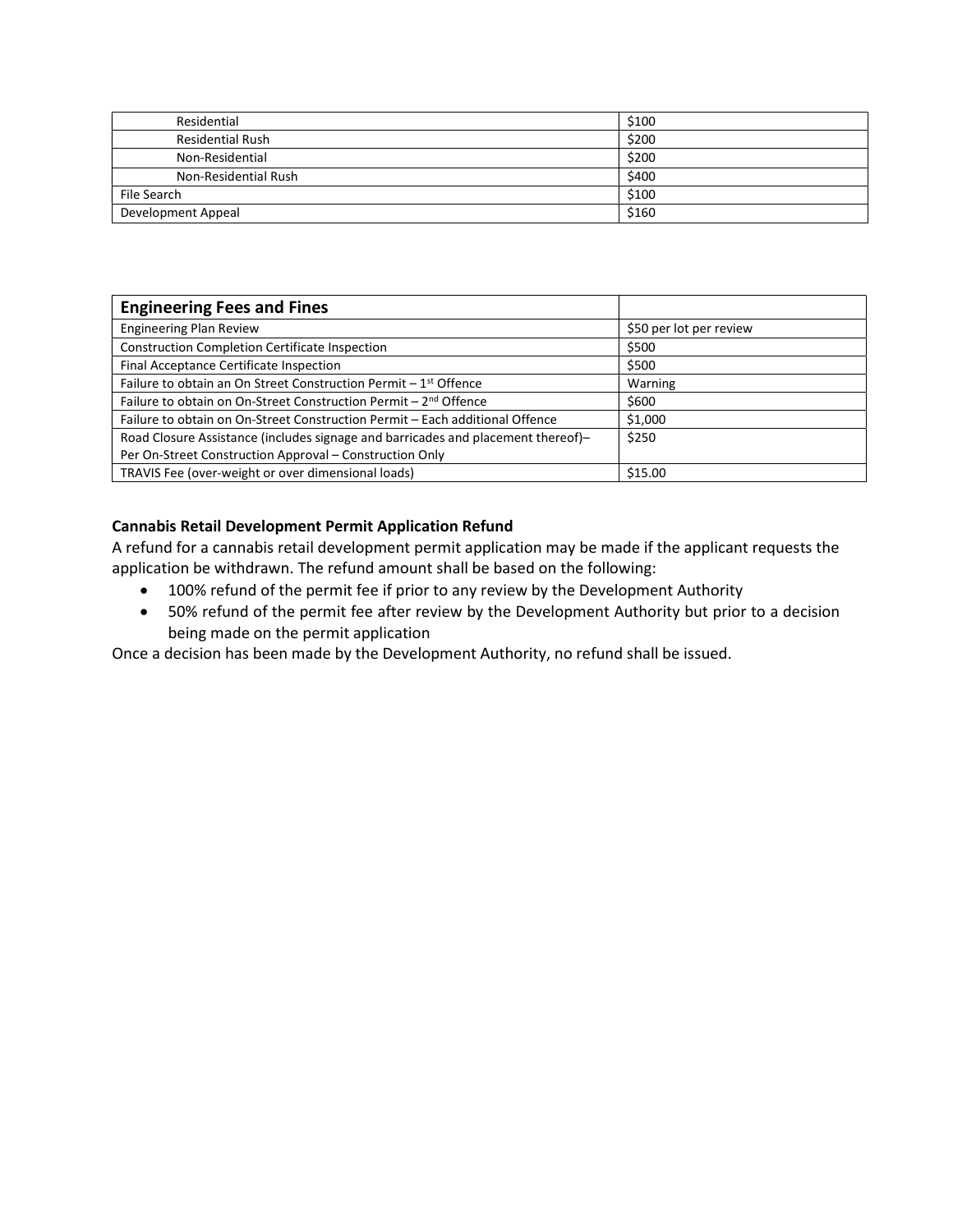| Residential             | \$100 |
|-------------------------|-------|
| <b>Residential Rush</b> | \$200 |
| Non-Residential         | \$200 |
| Non-Residential Rush    | \$400 |
| File Search             | \$100 |
| Development Appeal      | \$160 |

| <b>Engineering Fees and Fines</b>                                                |                         |
|----------------------------------------------------------------------------------|-------------------------|
| <b>Engineering Plan Review</b>                                                   | \$50 per lot per review |
| <b>Construction Completion Certificate Inspection</b>                            | \$500                   |
| Final Acceptance Certificate Inspection                                          | \$500                   |
| Failure to obtain an On Street Construction Permit - 1 <sup>st</sup> Offence     | Warning                 |
| Failure to obtain on On-Street Construction Permit - 2 <sup>nd</sup> Offence     | \$600                   |
| Failure to obtain on On-Street Construction Permit - Each additional Offence     | \$1,000                 |
| Road Closure Assistance (includes signage and barricades and placement thereof)- | \$250                   |
| Per On-Street Construction Approval – Construction Only                          |                         |
| TRAVIS Fee (over-weight or over dimensional loads)                               | \$15.00                 |

# Cannabis Retail Development Permit Application Refund

A refund for a cannabis retail development permit application may be made if the applicant requests the application be withdrawn. The refund amount shall be based on the following:

- 100% refund of the permit fee if prior to any review by the Development Authority
- 50% refund of the permit fee after review by the Development Authority but prior to a decision being made on the permit application

Once a decision has been made by the Development Authority, no refund shall be issued.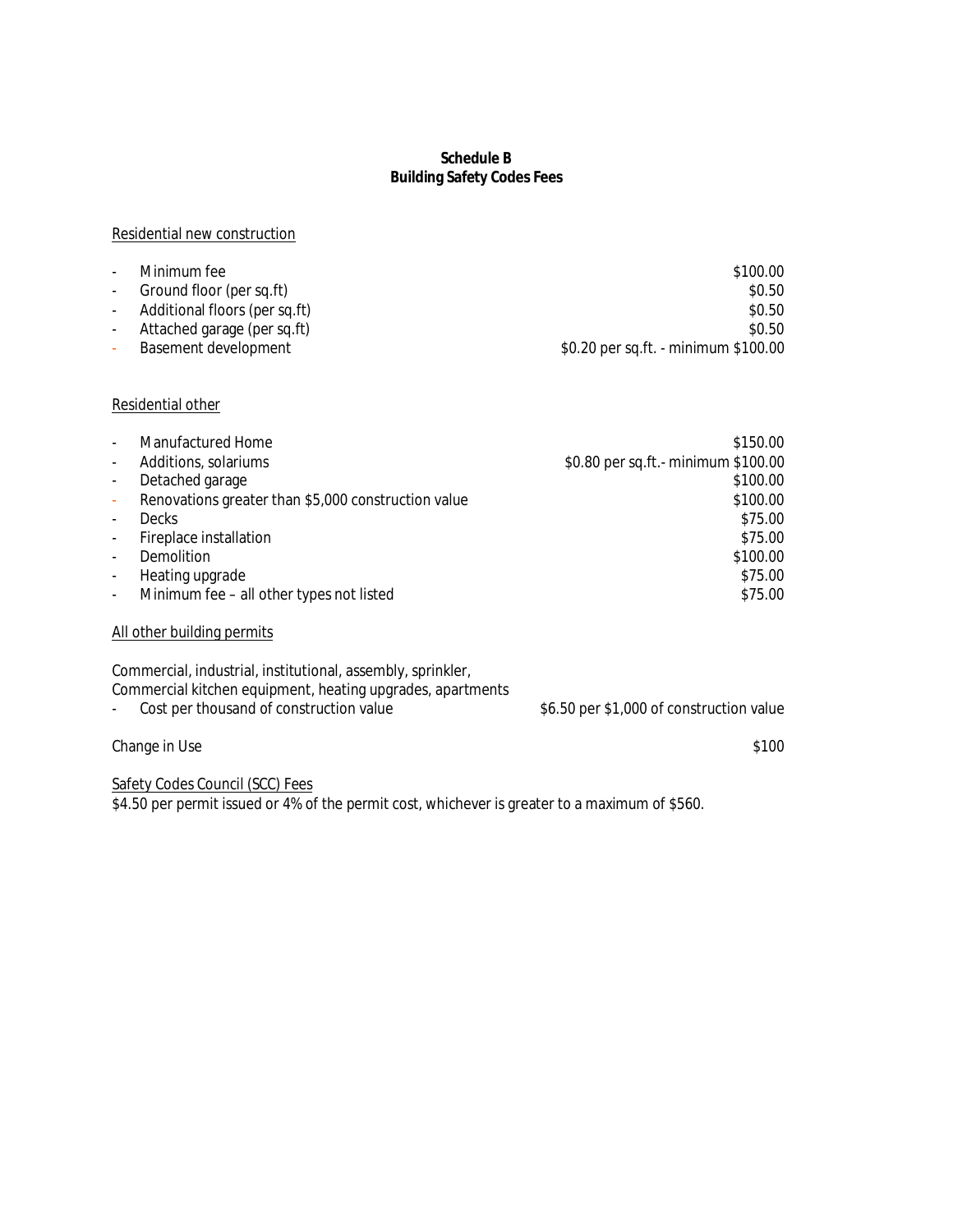### **Schedule B Building Safety Codes Fees**

#### Residential new construction

| $\sim$                   | Minimum fee                     | \$100.00                             |
|--------------------------|---------------------------------|--------------------------------------|
| $\sim$ 10 $\pm$          | Ground floor (per sq.ft)        | \$0.50                               |
|                          | - Additional floors (per sq.ft) | \$0.50                               |
|                          | Attached garage (per sq.ft)     | \$0.50                               |
| $\overline{\phantom{a}}$ | Basement development            | \$0.20 per sq.ft. - minimum \$100.00 |

# Residential other

|                          | Manufactured Home                                           | \$150.00                                 |
|--------------------------|-------------------------------------------------------------|------------------------------------------|
| $\overline{\phantom{a}}$ | Additions, solariums                                        | \$0.80 per sq.ft.- minimum \$100.00      |
| $\overline{\phantom{a}}$ | Detached garage                                             | \$100.00                                 |
| $\overline{\phantom{a}}$ | Renovations greater than \$5,000 construction value         | \$100.00                                 |
| $\overline{\phantom{a}}$ | <b>Decks</b>                                                | \$75.00                                  |
| $\overline{\phantom{a}}$ | Fireplace installation                                      | \$75.00                                  |
| $\overline{\phantom{a}}$ | Demolition                                                  | \$100.00                                 |
| $\overline{\phantom{a}}$ | Heating upgrade                                             | \$75.00                                  |
| $\overline{\phantom{a}}$ | Minimum fee - all other types not listed                    | \$75.00                                  |
|                          | All other building permits                                  |                                          |
|                          | Commercial, industrial, institutional, assembly, sprinkler, |                                          |
|                          | Commercial kitchen equipment, heating upgrades, apartments  |                                          |
| $\overline{\phantom{a}}$ | Cost per thousand of construction value                     | \$6.50 per \$1,000 of construction value |

# Change in Use \$100

Safety Codes Council (SCC) Fees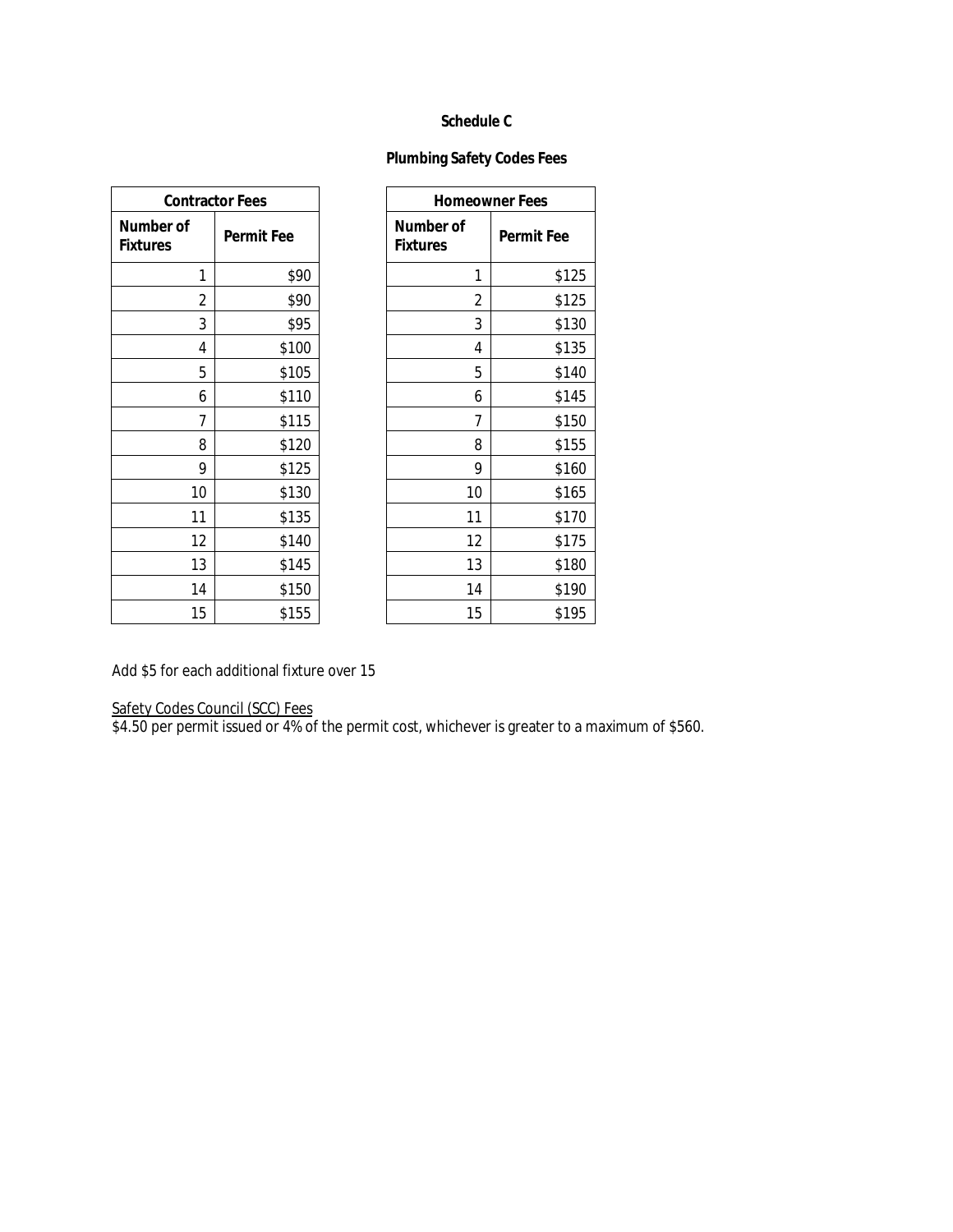#### **Schedule C**

# **Plumbing Safety Codes Fees**

| <b>Contractor Fees</b>              |                   |                                     |    | <b>Homeowner Fees</b> |
|-------------------------------------|-------------------|-------------------------------------|----|-----------------------|
| <b>Number of</b><br><b>Fixtures</b> | <b>Permit Fee</b> | <b>Number of</b><br><b>Fixtures</b> |    | Permit                |
| 1                                   | \$90              |                                     | 1  |                       |
| 2                                   | \$90              |                                     | 2  |                       |
| 3                                   | \$95              |                                     | 3  |                       |
| 4                                   | \$100             |                                     | 4  |                       |
| 5                                   | \$105             |                                     | 5  |                       |
| 6                                   | \$110             |                                     | 6  |                       |
| 7                                   | \$115             |                                     | 7  |                       |
| 8                                   | \$120             |                                     | 8  |                       |
| 9                                   | \$125             |                                     | 9  |                       |
| 10                                  | \$130             |                                     | 10 |                       |
| 11                                  | \$135             |                                     | 11 |                       |
| 12                                  | \$140             |                                     | 12 |                       |
| 13                                  | \$145             |                                     | 13 |                       |
| 14                                  | \$150             |                                     | 14 |                       |
| 15                                  | \$155             |                                     | 15 |                       |

| tractor Fees |                   |                                     | <b>Homeowner Fees</b> |
|--------------|-------------------|-------------------------------------|-----------------------|
|              | <b>Permit Fee</b> | <b>Number of</b><br><b>Fixtures</b> | <b>Permit Fee</b>     |
| 1            | \$90              | 1                                   | \$125                 |
| 2            | \$90              | 2                                   | \$125                 |
| 3            | \$95              | 3                                   | \$130                 |
| 4            | \$100             | 4                                   | \$135                 |
| 5            | \$105             | 5                                   | \$140                 |
| 6            | \$110             | 6                                   | \$145                 |
| 7            | \$115             | 7                                   | \$150                 |
| 8            | \$120             | 8                                   | \$155                 |
| 9            | \$125             | 9                                   | \$160                 |
| 10           | \$130             | 10                                  | \$165                 |
| 11           | \$135             | 11                                  | \$170                 |
| 12           | \$140             | 12                                  | \$175                 |
| 13           | \$145             | 13                                  | \$180                 |
| 14           | \$150             | 14                                  | \$190                 |
| 15           | \$155             | 15                                  | \$195                 |

Add \$5 for each additional fixture over 15

#### Safety Codes Council (SCC) Fees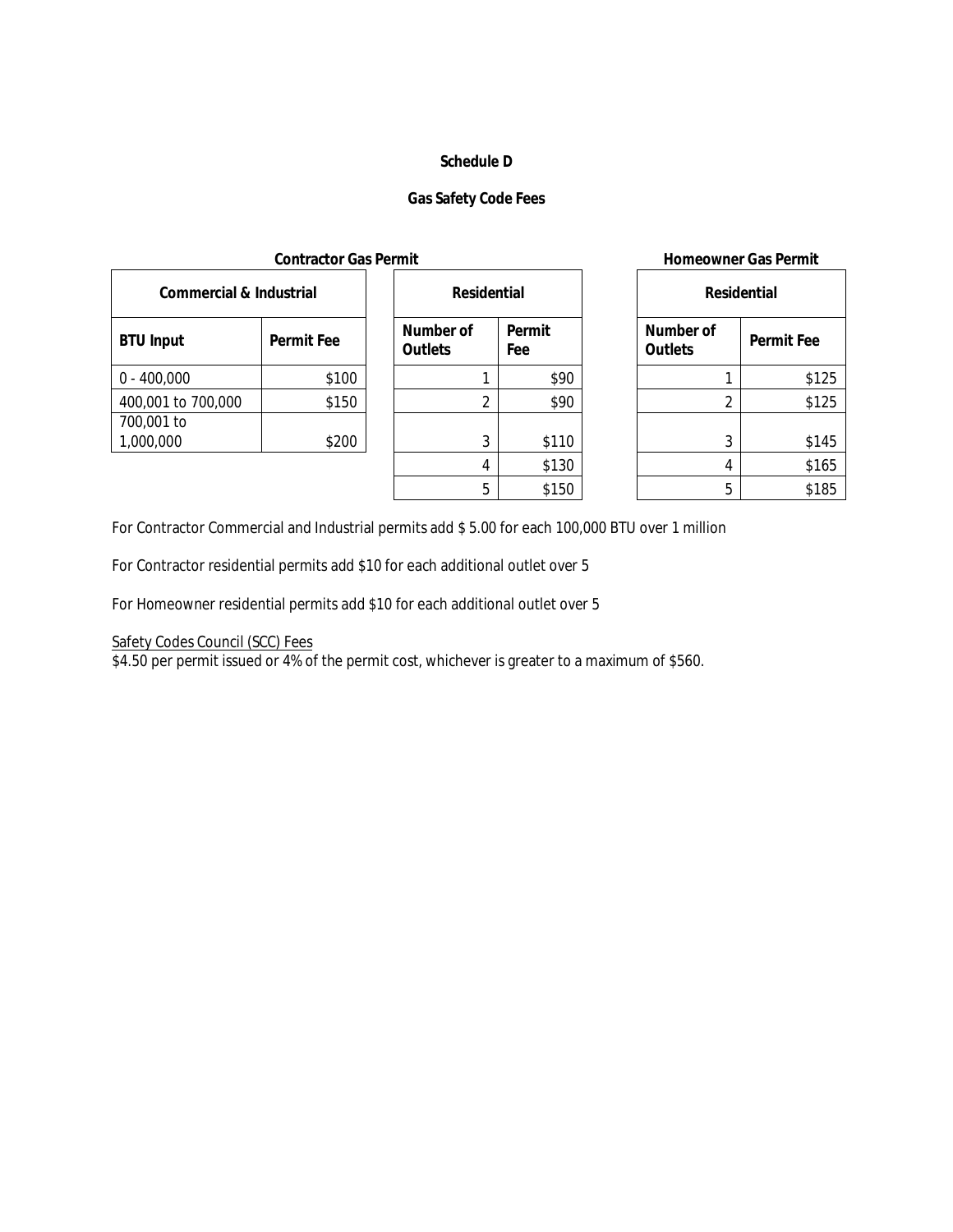#### **Schedule D**

# **Gas Safety Code Fees**

| <b>Commercial &amp; Industrial</b> |                   |                                    | <b>Residential</b> |               |  | <b>Residential</b>          |                   |
|------------------------------------|-------------------|------------------------------------|--------------------|---------------|--|-----------------------------|-------------------|
| <b>BTU Input</b>                   | <b>Permit Fee</b> | <b>Number of</b><br><b>Outlets</b> |                    | Permit<br>Fee |  | Number of<br><b>Outlets</b> | <b>Permit Fee</b> |
| $0 - 400,000$                      | \$100             |                                    |                    | \$90          |  |                             | \$125             |
| 400,001 to 700,000                 | \$150             |                                    |                    | \$90          |  |                             | \$125             |
| 700,001 to<br>1,000,000            | \$200             |                                    | 3                  | \$110         |  |                             | \$145             |
|                                    |                   |                                    |                    | 0.120         |  | $\mathbf{A}$                | 016               |

| <b>Residential</b>          |               |  |  |  |
|-----------------------------|---------------|--|--|--|
| Number of<br><b>Outlets</b> | Permit<br>Fee |  |  |  |
| 1                           | \$90          |  |  |  |
| 2                           | \$90          |  |  |  |
| 3                           | \$110         |  |  |  |
| 4                           | \$130         |  |  |  |
| 5                           | \$150         |  |  |  |

#### **Contractor Gas Permit Homeowner Gas Permit**

|   | dential       | <b>Residential</b>                 |                   |
|---|---------------|------------------------------------|-------------------|
|   | Permit<br>Fee | <b>Number of</b><br><b>Outlets</b> | <b>Permit Fee</b> |
| 1 | \$90          |                                    | \$125             |
| 2 | \$90          | 2                                  | \$125             |
| 3 | \$110         | 3                                  | \$145             |
| 4 | \$130         | 4                                  | \$165             |
| 5 | \$150         | 5                                  | \$185             |

For Contractor Commercial and Industrial permits add \$ 5.00 for each 100,000 BTU over 1 million

For Contractor residential permits add \$10 for each additional outlet over 5

For Homeowner residential permits add \$10 for each additional outlet over 5

Safety Codes Council (SCC) Fees